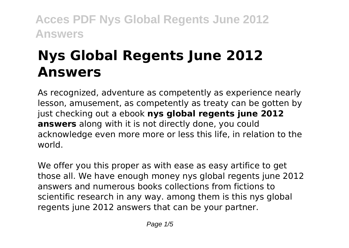# **Nys Global Regents June 2012 Answers**

As recognized, adventure as competently as experience nearly lesson, amusement, as competently as treaty can be gotten by just checking out a ebook **nys global regents june 2012 answers** along with it is not directly done, you could acknowledge even more more or less this life, in relation to the world.

We offer you this proper as with ease as easy artifice to get those all. We have enough money nys global regents june 2012 answers and numerous books collections from fictions to scientific research in any way. among them is this nys global regents june 2012 answers that can be your partner.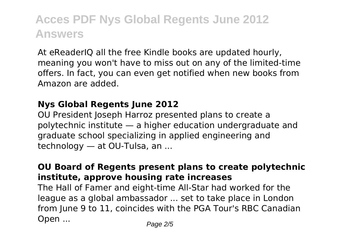At eReaderIQ all the free Kindle books are updated hourly, meaning you won't have to miss out on any of the limited-time offers. In fact, you can even get notified when new books from Amazon are added.

### **Nys Global Regents June 2012**

OU President Joseph Harroz presented plans to create a polytechnic institute — a higher education undergraduate and graduate school specializing in applied engineering and technology — at OU-Tulsa, an ...

### **OU Board of Regents present plans to create polytechnic institute, approve housing rate increases**

The Hall of Famer and eight-time All-Star had worked for the league as a global ambassador ... set to take place in London from June 9 to 11, coincides with the PGA Tour's RBC Canadian Open ... Page 2/5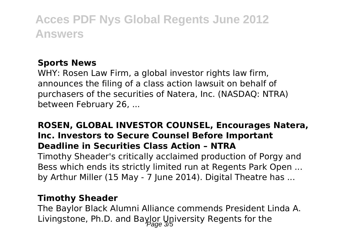### **Sports News**

WHY: Rosen Law Firm, a global investor rights law firm, announces the filing of a class action lawsuit on behalf of purchasers of the securities of Natera, Inc. (NASDAQ: NTRA) between February 26, ...

## **ROSEN, GLOBAL INVESTOR COUNSEL, Encourages Natera, Inc. Investors to Secure Counsel Before Important Deadline in Securities Class Action – NTRA**

Timothy Sheader's critically acclaimed production of Porgy and Bess which ends its strictly limited run at Regents Park Open ... by Arthur Miller (15 May - 7 June 2014). Digital Theatre has ...

#### **Timothy Sheader**

The Baylor Black Alumni Alliance commends President Linda A. Livingstone, Ph.D. and Baylor University Regents for the